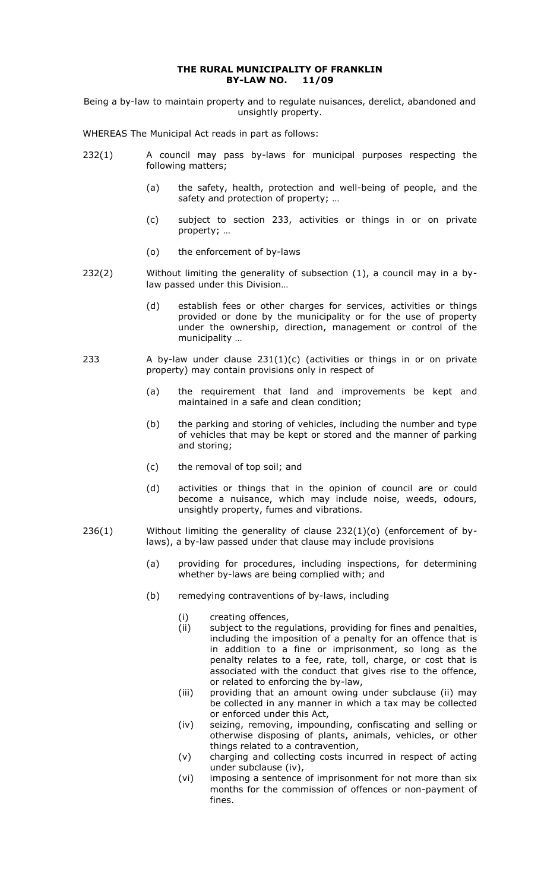#### **THE RURAL MUNICIPALITY OF FRANKLIN BY-LAW NO. 11/09**

Being a by-law to maintain property and to regulate nuisances, derelict, abandoned and unsightly property.

WHEREAS The Municipal Act reads in part as follows:

- 232(1) A council may pass by-laws for municipal purposes respecting the following matters;
	- (a) the safety, health, protection and well-being of people, and the safety and protection of property; ...
	- (c) subject to section 233, activities or things in or on private property; …
	- (o) the enforcement of by-laws
- $232(2)$  Without limiting the generality of subsection (1), a council may in a bylaw passed under this Division…
	- (d) establish fees or other charges for services, activities or things provided or done by the municipality or for the use of property under the ownership, direction, management or control of the municipality …
- 233 A by-law under clause  $231(1)(c)$  (activities or things in or on private property) may contain provisions only in respect of
	- (a) the requirement that land and improvements be kept and maintained in a safe and clean condition;
	- (b) the parking and storing of vehicles, including the number and type of vehicles that may be kept or stored and the manner of parking and storing;
	- (c) the removal of top soil; and
	- (d) activities or things that in the opinion of council are or could become a nuisance, which may include noise, weeds, odours, unsightly property, fumes and vibrations.
- $236(1)$  Without limiting the generality of clause  $232(1)(o)$  (enforcement of bylaws), a by-law passed under that clause may include provisions
	- (a) providing for procedures, including inspections, for determining whether by-laws are being complied with; and
	- (b) remedying contraventions of by-laws, including
		- (i) creating offences,<br>(ii) subject to the reg
		- subject to the regulations, providing for fines and penalties, including the imposition of a penalty for an offence that is in addition to a fine or imprisonment, so long as the penalty relates to a fee, rate, toll, charge, or cost that is associated with the conduct that gives rise to the offence, or related to enforcing the by-law,
		- (iii) providing that an amount owing under subclause (ii) may be collected in any manner in which a tax may be collected or enforced under this Act,
		- (iv) seizing, removing, impounding, confiscating and selling or otherwise disposing of plants, animals, vehicles, or other things related to a contravention,
		- (v) charging and collecting costs incurred in respect of acting under subclause (iv),
		- (vi) imposing a sentence of imprisonment for not more than six months for the commission of offences or non-payment of fines.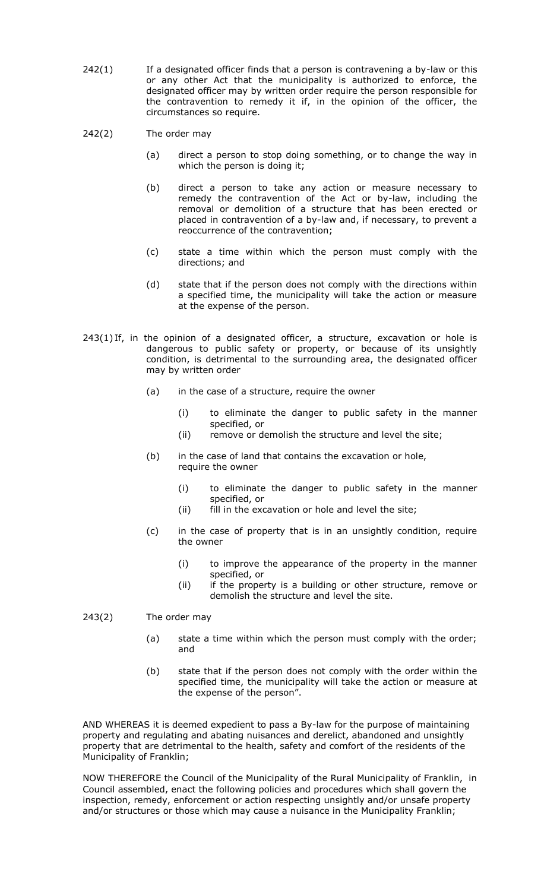- $242(1)$  If a designated officer finds that a person is contravening a by-law or this or any other Act that the municipality is authorized to enforce, the designated officer may by written order require the person responsible for the contravention to remedy it if, in the opinion of the officer, the circumstances so require.
- 242(2) The order may
	- (a) direct a person to stop doing something, or to change the way in which the person is doing it;
	- (b) direct a person to take any action or measure necessary to remedy the contravention of the Act or by-law, including the removal or demolition of a structure that has been erected or placed in contravention of a by-law and, if necessary, to prevent a reoccurrence of the contravention;
	- (c) state a time within which the person must comply with the directions; and
	- (d) state that if the person does not comply with the directions within a specified time, the municipality will take the action or measure at the expense of the person.
- $243(1)$  If, in the opinion of a designated officer, a structure, excavation or hole is dangerous to public safety or property, or because of its unsightly condition, is detrimental to the surrounding area, the designated officer may by written order
	- (a) in the case of a structure, require the owner
		- (i) to eliminate the danger to public safety in the manner specified, or
		- (ii) remove or demolish the structure and level the site;
	- (b) in the case of land that contains the excavation or hole, require the owner
		- (i) to eliminate the danger to public safety in the manner specified, or
		- (ii) fill in the excavation or hole and level the site;
	- (c) in the case of property that is in an unsightly condition, require the owner
		- (i) to improve the appearance of the property in the manner specified, or
		- (ii) if the property is a building or other structure, remove or demolish the structure and level the site.
- 243(2) The order may
	- (a) state a time within which the person must comply with the order; and
	- (b) state that if the person does not comply with the order within the specified time, the municipality will take the action or measure at the expense of the person".

AND WHEREAS it is deemed expedient to pass a By-law for the purpose of maintaining property and regulating and abating nuisances and derelict, abandoned and unsightly property that are detrimental to the health, safety and comfort of the residents of the Municipality of Franklin;

NOW THEREFORE the Council of the Municipality of the Rural Municipality of Franklin, in Council assembled, enact the following policies and procedures which shall govern the inspection, remedy, enforcement or action respecting unsightly and/or unsafe property and/or structures or those which may cause a nuisance in the Municipality Franklin;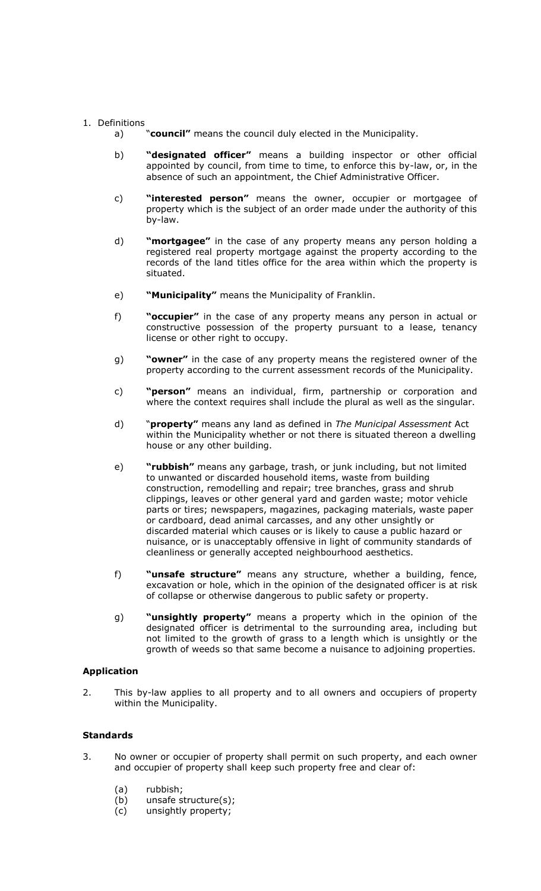### 1. Definitions

- a) "**council"** means the council duly elected in the Municipality.
- b) **"designated officer"** means a building inspector or other official appointed by council, from time to time, to enforce this by-law, or, in the absence of such an appointment, the Chief Administrative Officer.
- c) **"interested person"** means the owner, occupier or mortgagee of property which is the subject of an order made under the authority of this by-law.
- d) **"mortgagee"** in the case of any property means any person holding a registered real property mortgage against the property according to the records of the land titles office for the area within which the property is situated.
- e) **"Municipality"** means the Municipality of Franklin.
- f) **"occupier"** in the case of any property means any person in actual or constructive possession of the property pursuant to a lease, tenancy license or other right to occupy.
- g) **"owner"** in the case of any property means the registered owner of the property according to the current assessment records of the Municipality.
- c) **"person"** means an individual, firm, partnership or corporation and where the context requires shall include the plural as well as the singular.
- d) "**property"** means any land as defined in *The Municipal Assessment* Act within the Municipality whether or not there is situated thereon a dwelling house or any other building.
- e) **"rubbish"** means any garbage, trash, or junk including, but not limited to unwanted or discarded household items, waste from building construction, remodelling and repair; tree branches, grass and shrub clippings, leaves or other general yard and garden waste; motor vehicle parts or tires; newspapers, magazines, packaging materials, waste paper or cardboard, dead animal carcasses, and any other unsightly or discarded material which causes or is likely to cause a public hazard or nuisance, or is unacceptably offensive in light of community standards of cleanliness or generally accepted neighbourhood aesthetics.
- f) **"unsafe structure"** means any structure, whether a building, fence, excavation or hole, which in the opinion of the designated officer is at risk of collapse or otherwise dangerous to public safety or property.
- g) **"unsightly property"** means a property which in the opinion of the designated officer is detrimental to the surrounding area, including but not limited to the growth of grass to a length which is unsightly or the growth of weeds so that same become a nuisance to adjoining properties.

## **Application**

2. This by-law applies to all property and to all owners and occupiers of property within the Municipality.

# **Standards**

- 3. No owner or occupier of property shall permit on such property, and each owner and occupier of property shall keep such property free and clear of:
	- (a) rubbish;
	- (b) unsafe structure(s);
	- (c) unsightly property;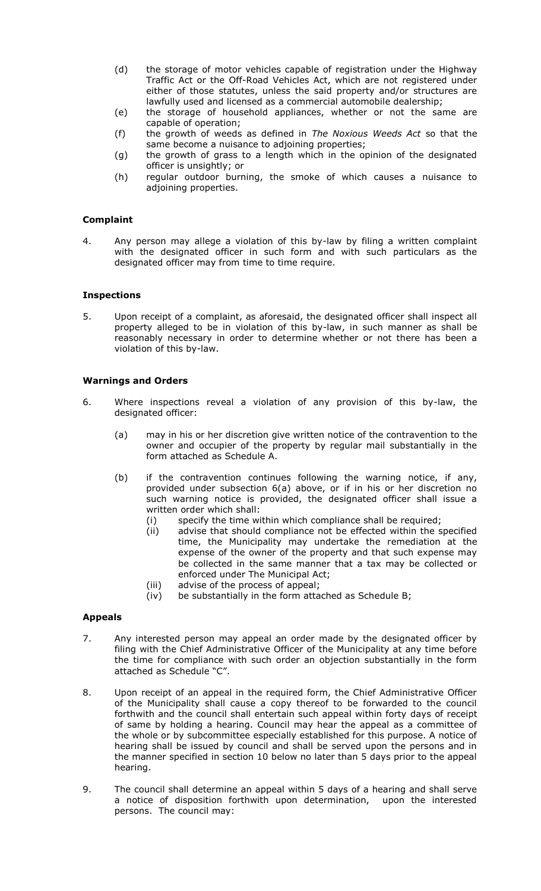- (d) the storage of motor vehicles capable of registration under the Highway Traffic Act or the Off-Road Vehicles Act, which are not registered under either of those statutes, unless the said property and/or structures are lawfully used and licensed as a commercial automobile dealership;
- (e) the storage of household appliances, whether or not the same are capable of operation;
- (f) the growth of weeds as defined in *The Noxious Weeds Act* so that the same become a nuisance to adjoining properties;
- (g) the growth of grass to a length which in the opinion of the designated officer is unsightly; or
- (h) regular outdoor burning, the smoke of which causes a nuisance to adjoining properties.

### **Complaint**

4. Any person may allege a violation of this by-law by filing a written complaint with the designated officer in such form and with such particulars as the designated officer may from time to time require.

### **Inspections**

5. Upon receipt of a complaint, as aforesaid, the designated officer shall inspect all property alleged to be in violation of this by-law, in such manner as shall be reasonably necessary in order to determine whether or not there has been a violation of this by-law.

### **Warnings and Orders**

- 6. Where inspections reveal a violation of any provision of this by-law, the designated officer:
	- (a) may in his or her discretion give written notice of the contravention to the owner and occupier of the property by regular mail substantially in the form attached as Schedule A.
	- (b) if the contravention continues following the warning notice, if any, provided under subsection 6(a) above, or if in his or her discretion no such warning notice is provided, the designated officer shall issue a written order which shall:
		- (i) specify the time within which compliance shall be required;
		- (ii) advise that should compliance not be effected within the specified time, the Municipality may undertake the remediation at the expense of the owner of the property and that such expense may be collected in the same manner that a tax may be collected or enforced under The Municipal Act;
		- (iii) advise of the process of appeal;
		- (iv) be substantially in the form attached as Schedule B;

#### **Appeals**

- 7. Any interested person may appeal an order made by the designated officer by filing with the Chief Administrative Officer of the Municipality at any time before the time for compliance with such order an objection substantially in the form attached as Schedule "C".
- 8. Upon receipt of an appeal in the required form, the Chief Administrative Officer of the Municipality shall cause a copy thereof to be forwarded to the council forthwith and the council shall entertain such appeal within forty days of receipt of same by holding a hearing. Council may hear the appeal as a committee of the whole or by subcommittee especially established for this purpose. A notice of hearing shall be issued by council and shall be served upon the persons and in the manner specified in section 10 below no later than 5 days prior to the appeal hearing.
- 9. The council shall determine an appeal within 5 days of a hearing and shall serve a notice of disposition forthwith upon determination, upon the interested persons. The council may: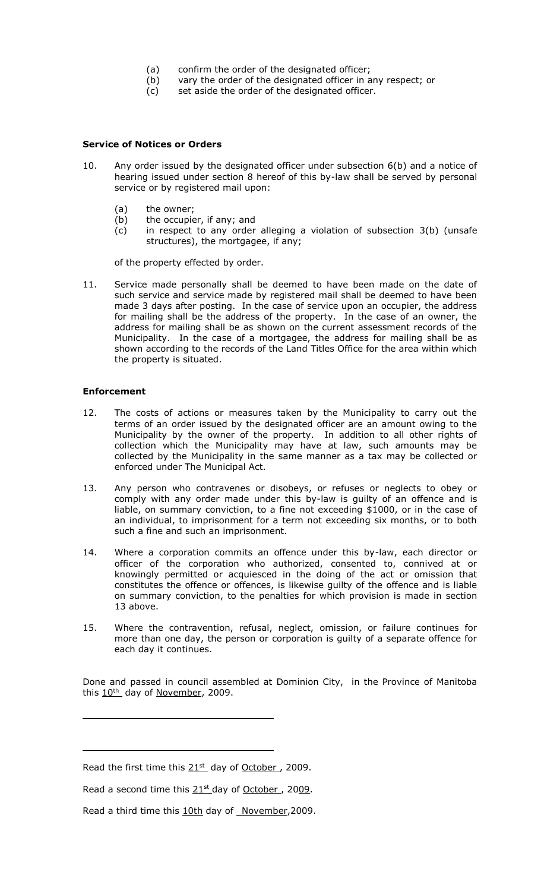- (a) confirm the order of the designated officer;
- (b) vary the order of the designated officer in any respect; or
- (c) set aside the order of the designated officer.

#### **Service of Notices or Orders**

- 10. Any order issued by the designated officer under subsection 6(b) and a notice of hearing issued under section 8 hereof of this by-law shall be served by personal service or by registered mail upon:
	- (a) the owner;
	- (b) the occupier, if any; and
	- (c) in respect to any order alleging a violation of subsection 3(b) (unsafe structures), the mortgagee, if any;

of the property effected by order.

11. Service made personally shall be deemed to have been made on the date of such service and service made by registered mail shall be deemed to have been made 3 days after posting. In the case of service upon an occupier, the address for mailing shall be the address of the property. In the case of an owner, the address for mailing shall be as shown on the current assessment records of the Municipality. In the case of a mortgagee, the address for mailing shall be as shown according to the records of the Land Titles Office for the area within which the property is situated.

#### **Enforcement**

- 12. The costs of actions or measures taken by the Municipality to carry out the terms of an order issued by the designated officer are an amount owing to the Municipality by the owner of the property. In addition to all other rights of collection which the Municipality may have at law, such amounts may be collected by the Municipality in the same manner as a tax may be collected or enforced under The Municipal Act.
- 13. Any person who contravenes or disobeys, or refuses or neglects to obey or comply with any order made under this by-law is guilty of an offence and is liable, on summary conviction, to a fine not exceeding \$1000, or in the case of an individual, to imprisonment for a term not exceeding six months, or to both such a fine and such an imprisonment.
- 14. Where a corporation commits an offence under this by-law, each director or officer of the corporation who authorized, consented to, connived at or knowingly permitted or acquiesced in the doing of the act or omission that constitutes the offence or offences, is likewise guilty of the offence and is liable on summary conviction, to the penalties for which provision is made in section 13 above.
- 15. Where the contravention, refusal, neglect, omission, or failure continues for more than one day, the person or corporation is guilty of a separate offence for each day it continues.

Done and passed in council assembled at Dominion City, in the Province of Manitoba this  $10^{th}$  day of November, 2009.

Read the first time this  $21<sup>st</sup>$  day of October, 2009.

Read a second time this  $21<sup>st</sup>$  day of October, 2009.

Read a third time this 10th day of November,2009.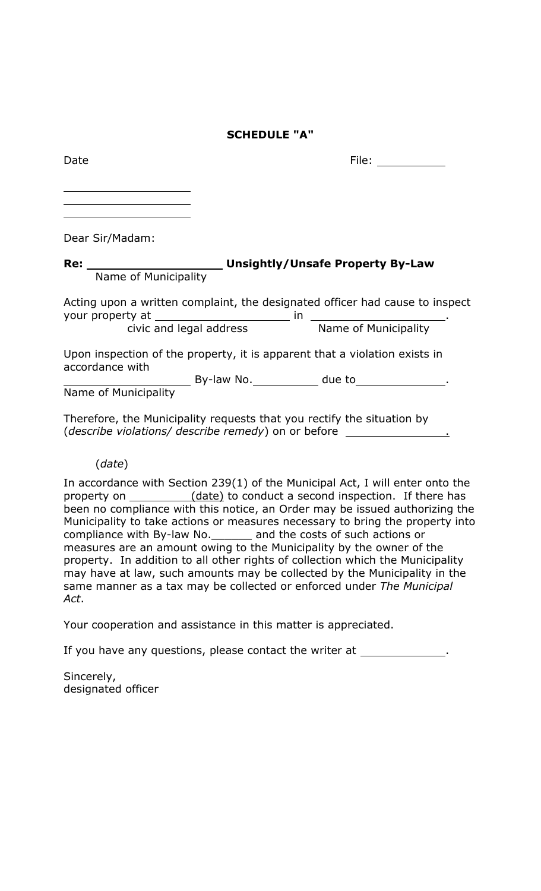# **SCHEDULE "A"**

| Date | File: |
|------|-------|
|      |       |
|      |       |
|      |       |
|      |       |

Dear Sir/Madam:

# **Re: Unsightly/Unsafe Property By-Law** Name of Municipality

Acting upon a written complaint, the designated officer had cause to inspect your property at in . civic and legal address Name of Municipality

Upon inspection of the property, it is apparent that a violation exists in accordance with By-law No. \_\_\_\_\_\_\_\_\_\_\_\_ due to \_\_\_\_\_\_\_\_\_\_\_\_\_\_\_.

Name of Municipality

Therefore, the Municipality requests that you rectify the situation by (*describe violations/ describe remedy*) on or before .

# (*date*)

In accordance with Section 239(1) of the Municipal Act, I will enter onto the property on (date) to conduct a second inspection. If there has been no compliance with this notice, an Order may be issued authorizing the Municipality to take actions or measures necessary to bring the property into compliance with By-law No.\_\_\_\_\_\_ and the costs of such actions or measures are an amount owing to the Municipality by the owner of the property. In addition to all other rights of collection which the Municipality may have at law, such amounts may be collected by the Municipality in the same manner as a tax may be collected or enforced under *The Municipal Act*.

Your cooperation and assistance in this matter is appreciated.

If you have any questions, please contact the writer at \_\_\_\_\_\_\_\_\_\_\_\_\_\_.

Sincerely, designated officer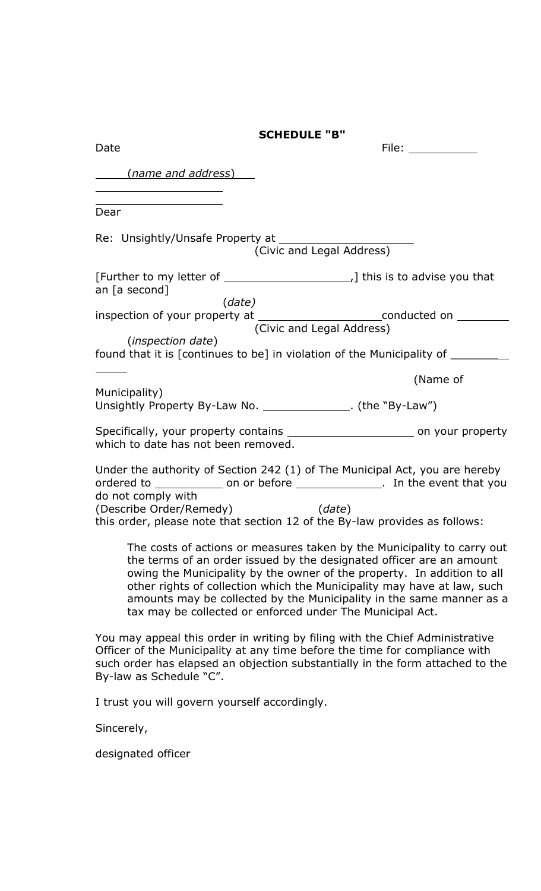|                                                                               | <b>SCHEDULE "B"</b>                                       |                                                                                                                                                                                                                                                                                                                                                                               |
|-------------------------------------------------------------------------------|-----------------------------------------------------------|-------------------------------------------------------------------------------------------------------------------------------------------------------------------------------------------------------------------------------------------------------------------------------------------------------------------------------------------------------------------------------|
| Date                                                                          |                                                           | File: $\_\_$                                                                                                                                                                                                                                                                                                                                                                  |
| <u>(name and address)</u>                                                     |                                                           |                                                                                                                                                                                                                                                                                                                                                                               |
| Dear                                                                          |                                                           |                                                                                                                                                                                                                                                                                                                                                                               |
| Re: Unsightly/Unsafe Property at _______                                      | (Civic and Legal Address)                                 |                                                                                                                                                                                                                                                                                                                                                                               |
| an [a second]                                                                 |                                                           |                                                                                                                                                                                                                                                                                                                                                                               |
|                                                                               | (data)<br>(Civic and Legal Address)                       | inspection of your property at _________________________conducted on __________                                                                                                                                                                                                                                                                                               |
| (inspection date)                                                             |                                                           | found that it is [continues to be] in violation of the Municipality of _________                                                                                                                                                                                                                                                                                              |
|                                                                               |                                                           | (Name of                                                                                                                                                                                                                                                                                                                                                                      |
| Municipality)<br>Unsightly Property By-Law No. ______________. (the "By-Law") |                                                           |                                                                                                                                                                                                                                                                                                                                                                               |
| which to date has not been removed.                                           |                                                           |                                                                                                                                                                                                                                                                                                                                                                               |
| do not comply with<br>(Describe Order/Remedy) (date)                          |                                                           | Under the authority of Section 242 (1) of The Municipal Act, you are hereby<br>ordered to _______________ on or before _________________. In the event that you<br>this order, please note that section 12 of the By-law provides as follows:                                                                                                                                 |
|                                                                               | tax may be collected or enforced under The Municipal Act. | The costs of actions or measures taken by the Municipality to carry out<br>the terms of an order issued by the designated officer are an amount<br>owing the Municipality by the owner of the property. In addition to all<br>other rights of collection which the Municipality may have at law, such<br>amounts may be collected by the Municipality in the same manner as a |
| By-law as Schedule "C".                                                       |                                                           | You may appeal this order in writing by filing with the Chief Administrative<br>Officer of the Municipality at any time before the time for compliance with<br>such order has elapsed an objection substantially in the form attached to the                                                                                                                                  |
| I trust you will govern yourself accordingly.                                 |                                                           |                                                                                                                                                                                                                                                                                                                                                                               |

Sincerely,

designated officer